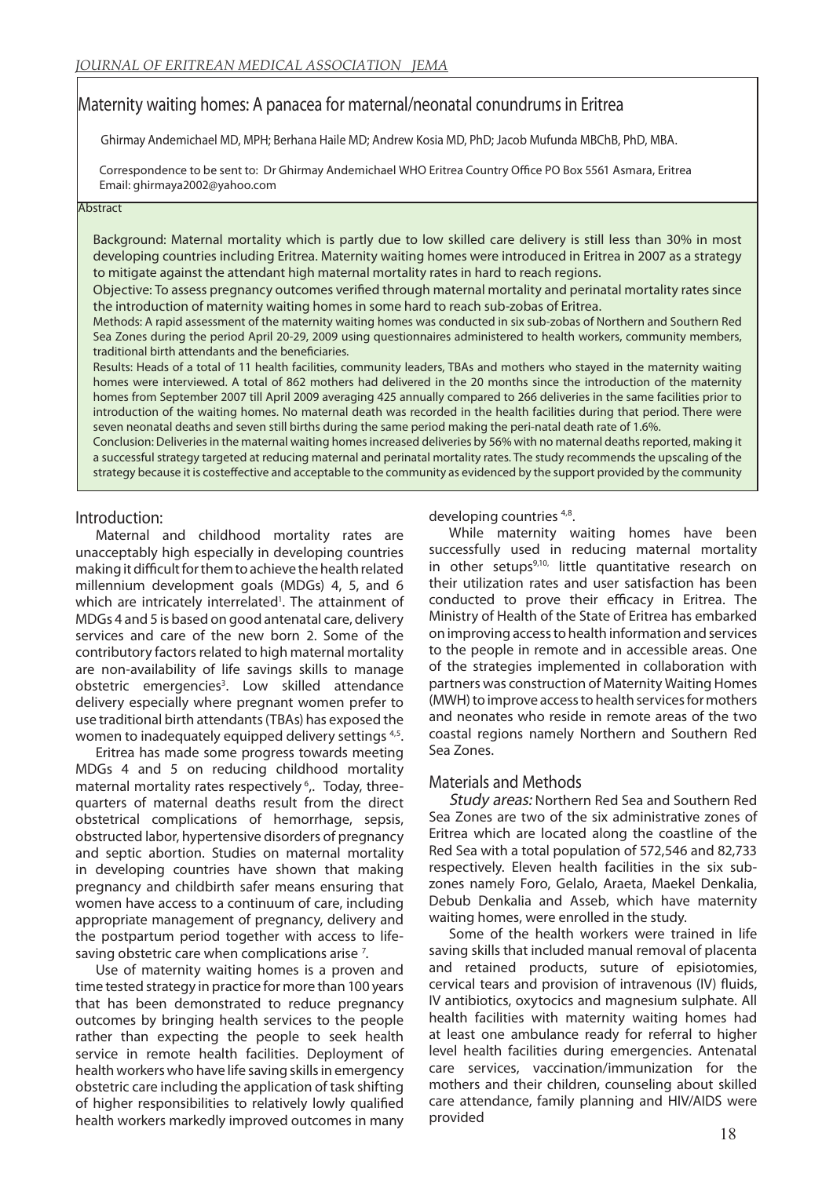# Maternity waiting homes: A panacea for maternal/neonatal conundrums in Eritrea

Ghirmay Andemichael MD, MPH; Berhana Haile MD; Andrew Kosia MD, PhD; Jacob Mufunda MBChB, PhD, MBA.

 Correspondence to be sent to: Dr Ghirmay Andemichael WHO Eritrea Country Office PO Box 5561 Asmara, Eritrea Email: ghirmaya2002@yahoo.com

#### **Abstract**

Background: Maternal mortality which is partly due to low skilled care delivery is still less than 30% in most developing countries including Eritrea. Maternity waiting homes were introduced in Eritrea in 2007 as a strategy to mitigate against the attendant high maternal mortality rates in hard to reach regions.

Objective: To assess pregnancy outcomes verified through maternal mortality and perinatal mortality rates since the introduction of maternity waiting homes in some hard to reach sub-zobas of Eritrea.

Methods: A rapid assessment of the maternity waiting homes was conducted in six sub-zobas of Northern and Southern Red Sea Zones during the period April 20-29, 2009 using questionnaires administered to health workers, community members, traditional birth attendants and the beneficiaries.

Results: Heads of a total of 11 health facilities, community leaders, TBAs and mothers who stayed in the maternity waiting homes were interviewed. A total of 862 mothers had delivered in the 20 months since the introduction of the maternity homes from September 2007 till April 2009 averaging 425 annually compared to 266 deliveries in the same facilities prior to introduction of the waiting homes. No maternal death was recorded in the health facilities during that period. There were seven neonatal deaths and seven still births during the same period making the peri-natal death rate of 1.6%.

Conclusion: Deliveries in the maternal waiting homes increased deliveries by 56% with no maternal deaths reported, making it a successful strategy targeted at reducing maternal and perinatal mortality rates. The study recommends the upscaling of the strategy because it is costeffective and acceptable to the community as evidenced by the support provided by the community

## Introduction:

Maternal and childhood mortality rates are unacceptably high especially in developing countries making it difficult for them to achieve the health related millennium development goals (MDGs) 4, 5, and 6 which are intricately interrelated<sup>1</sup>. The attainment of MDGs 4 and 5 is based on good antenatal care, delivery services and care of the new born 2. Some of the contributory factors related to high maternal mortality are non-availability of life savings skills to manage obstetric emergencies<sup>3</sup>. Low skilled attendance delivery especially where pregnant women prefer to use traditional birth attendants (TBAs) has exposed the women to inadequately equipped delivery settings 4,5.

Eritrea has made some progress towards meeting MDGs 4 and 5 on reducing childhood mortality maternal mortality rates respectively<sup>6</sup>,. Today, threequarters of maternal deaths result from the direct obstetrical complications of hemorrhage, sepsis, obstructed labor, hypertensive disorders of pregnancy and septic abortion. Studies on maternal mortality in developing countries have shown that making pregnancy and childbirth safer means ensuring that women have access to a continuum of care, including appropriate management of pregnancy, delivery and the postpartum period together with access to lifesaving obstetric care when complications arise 7.

Use of maternity waiting homes is a proven and time tested strategy in practice for more than 100 years that has been demonstrated to reduce pregnancy outcomes by bringing health services to the people rather than expecting the people to seek health service in remote health facilities. Deployment of health workers who have life saving skills in emergency obstetric care including the application of task shifting of higher responsibilities to relatively lowly qualified health workers markedly improved outcomes in many

developing countries 4,8.

While maternity waiting homes have been successfully used in reducing maternal mortality in other setups<sup>9,10,</sup> little quantitative research on their utilization rates and user satisfaction has been conducted to prove their efficacy in Eritrea. The Ministry of Health of the State of Eritrea has embarked on improving access to health information and services to the people in remote and in accessible areas. One of the strategies implemented in collaboration with partners was construction of Maternity Waiting Homes (MWH) to improve access to health services for mothers and neonates who reside in remote areas of the two coastal regions namely Northern and Southern Red Sea Zones.

## Materials and Methods

Study areas: Northern Red Sea and Southern Red Sea Zones are two of the six administrative zones of Eritrea which are located along the coastline of the Red Sea with a total population of 572,546 and 82,733 respectively. Eleven health facilities in the six subzones namely Foro, Gelalo, Araeta, Maekel Denkalia, Debub Denkalia and Asseb, which have maternity waiting homes, were enrolled in the study.

Some of the health workers were trained in life saving skills that included manual removal of placenta and retained products, suture of episiotomies, cervical tears and provision of intravenous (IV) fluids, IV antibiotics, oxytocics and magnesium sulphate. All health facilities with maternity waiting homes had at least one ambulance ready for referral to higher level health facilities during emergencies. Antenatal care services, vaccination/immunization for the mothers and their children, counseling about skilled care attendance, family planning and HIV/AIDS were provided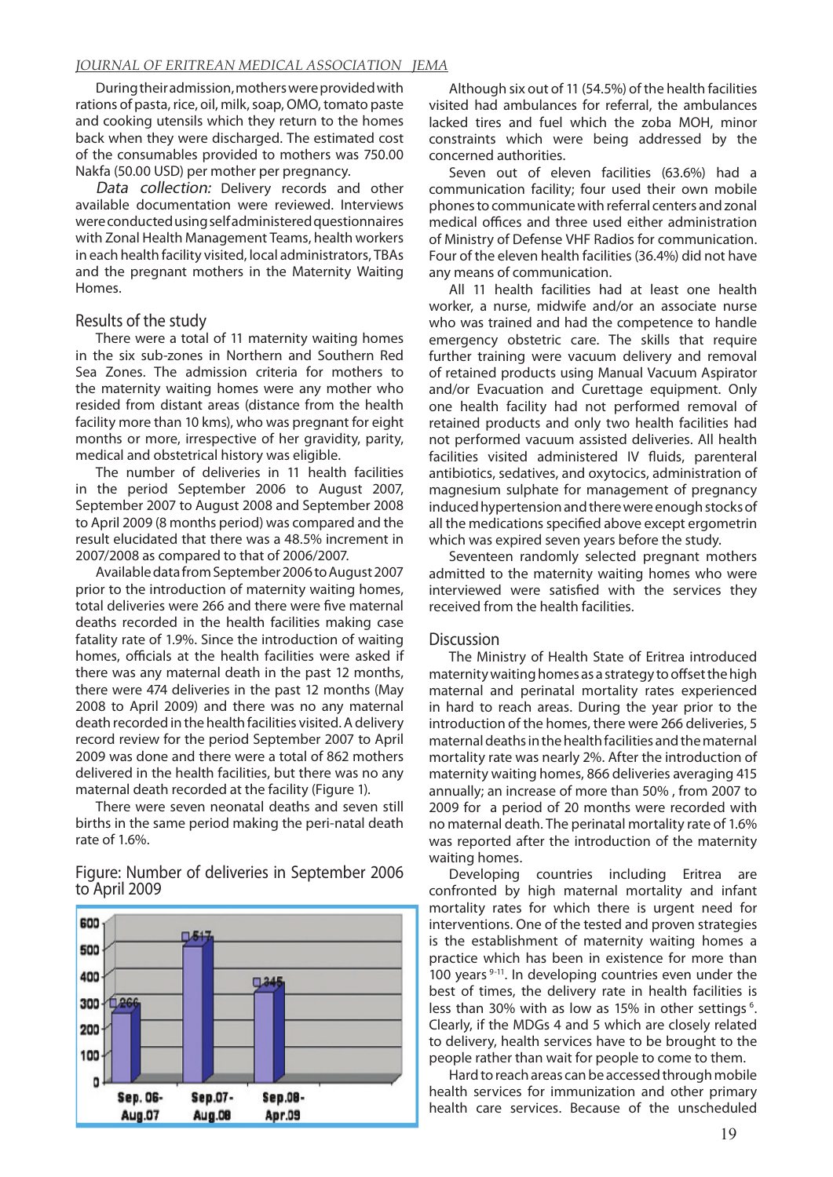#### *JOURNAL OF ERITREAN MEDICAL ASSOCIATION JEMA*

During their admission, mothers were provided with rations of pasta, rice, oil, milk, soap, OMO, tomato paste and cooking utensils which they return to the homes back when they were discharged. The estimated cost of the consumables provided to mothers was 750.00 Nakfa (50.00 USD) per mother per pregnancy.

Data collection: Delivery records and other available documentation were reviewed. Interviews were conducted using self administered questionnaires with Zonal Health Management Teams, health workers in each health facility visited, local administrators, TBAs and the pregnant mothers in the Maternity Waiting Homes.

#### Results of the study

There were a total of 11 maternity waiting homes in the six sub-zones in Northern and Southern Red Sea Zones. The admission criteria for mothers to the maternity waiting homes were any mother who resided from distant areas (distance from the health facility more than 10 kms), who was pregnant for eight months or more, irrespective of her gravidity, parity, medical and obstetrical history was eligible.

The number of deliveries in 11 health facilities in the period September 2006 to August 2007, September 2007 to August 2008 and September 2008 to April 2009 (8 months period) was compared and the result elucidated that there was a 48.5% increment in 2007/2008 as compared to that of 2006/2007.

Available data from September 2006 to August 2007 prior to the introduction of maternity waiting homes, total deliveries were 266 and there were five maternal deaths recorded in the health facilities making case fatality rate of 1.9%. Since the introduction of waiting homes, officials at the health facilities were asked if there was any maternal death in the past 12 months, there were 474 deliveries in the past 12 months (May 2008 to April 2009) and there was no any maternal death recorded in the health facilities visited. A delivery record review for the period September 2007 to April 2009 was done and there were a total of 862 mothers delivered in the health facilities, but there was no any maternal death recorded at the facility (Figure 1).

There were seven neonatal deaths and seven still births in the same period making the peri-natal death rate of 1.6%.

Figure: Number of deliveries in September 2006 to April 2009



Although six out of 11 (54.5%) of the health facilities visited had ambulances for referral, the ambulances lacked tires and fuel which the zoba MOH, minor constraints which were being addressed by the concerned authorities.

Seven out of eleven facilities (63.6%) had a communication facility; four used their own mobile phones to communicate with referral centers and zonal medical offices and three used either administration of Ministry of Defense VHF Radios for communication. Four of the eleven health facilities (36.4%) did not have any means of communication.

All 11 health facilities had at least one health worker, a nurse, midwife and/or an associate nurse who was trained and had the competence to handle emergency obstetric care. The skills that require further training were vacuum delivery and removal of retained products using Manual Vacuum Aspirator and/or Evacuation and Curettage equipment. Only one health facility had not performed removal of retained products and only two health facilities had not performed vacuum assisted deliveries. All health facilities visited administered IV fluids, parenteral antibiotics, sedatives, and oxytocics, administration of magnesium sulphate for management of pregnancy induced hypertension and there were enough stocks of all the medications specified above except ergometrin which was expired seven years before the study.

Seventeen randomly selected pregnant mothers admitted to the maternity waiting homes who were interviewed were satisfied with the services they received from the health facilities.

#### **Discussion**

The Ministry of Health State of Eritrea introduced maternity waiting homes as a strategy to offset the high maternal and perinatal mortality rates experienced in hard to reach areas. During the year prior to the introduction of the homes, there were 266 deliveries, 5 maternal deaths in the health facilities and the maternal mortality rate was nearly 2%. After the introduction of maternity waiting homes, 866 deliveries averaging 415 annually; an increase of more than 50% , from 2007 to 2009 for a period of 20 months were recorded with no maternal death. The perinatal mortality rate of 1.6% was reported after the introduction of the maternity waiting homes.

Developing countries including Eritrea are confronted by high maternal mortality and infant mortality rates for which there is urgent need for interventions. One of the tested and proven strategies is the establishment of maternity waiting homes a practice which has been in existence for more than 100 years <sup>9-11</sup>. In developing countries even under the best of times, the delivery rate in health facilities is less than 30% with as low as 15% in other settings<sup>6</sup>. Clearly, if the MDGs 4 and 5 which are closely related to delivery, health services have to be brought to the people rather than wait for people to come to them.

Hard to reach areas can be accessed through mobile health services for immunization and other primary health care services. Because of the unscheduled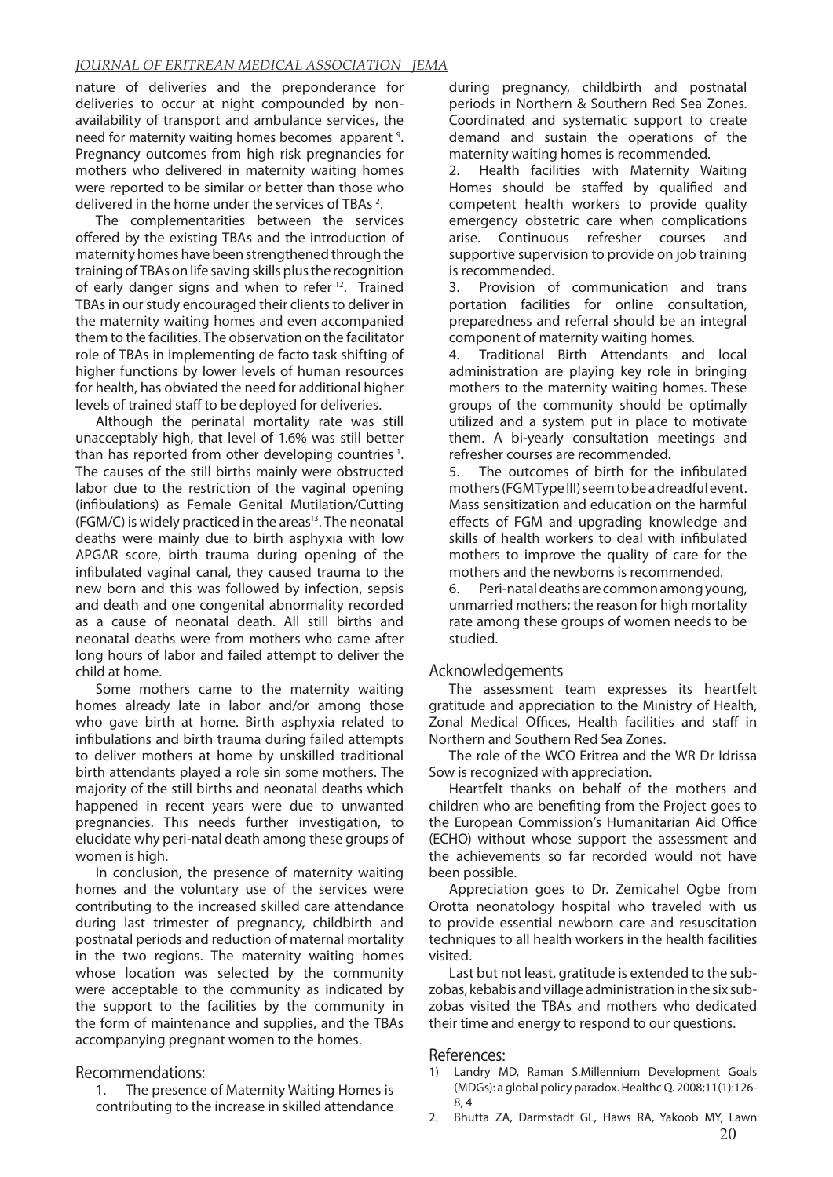### *JOURNAL OF ERITREAN MEDICAL ASSOCIATION JEMA*

nature of deliveries and the preponderance for deliveries to occur at night compounded by nonavailability of transport and ambulance services, the need for maternity waiting homes becomes apparent<sup>9</sup>. Pregnancy outcomes from high risk pregnancies for mothers who delivered in maternity waiting homes were reported to be similar or better than those who delivered in the home under the services of TBAs<sup>2</sup>.

The complementarities between the services offered by the existing TBAs and the introduction of maternity homes have been strengthened through the training of TBAs on life saving skills plus the recognition of early danger signs and when to refer <sup>12</sup>. Trained TBAs in our study encouraged their clients to deliver in the maternity waiting homes and even accompanied them to the facilities. The observation on the facilitator role of TBAs in implementing de facto task shifting of higher functions by lower levels of human resources for health, has obviated the need for additional higher levels of trained staff to be deployed for deliveries.

Although the perinatal mortality rate was still unacceptably high, that level of 1.6% was still better than has reported from other developing countries<sup>1</sup>. The causes of the still births mainly were obstructed labor due to the restriction of the vaginal opening (infibulations) as Female Genital Mutilation/Cutting (FGM/C) is widely practiced in the areas<sup>13</sup>. The neonatal deaths were mainly due to birth asphyxia with low APGAR score, birth trauma during opening of the infibulated vaginal canal, they caused trauma to the new born and this was followed by infection, sepsis and death and one congenital abnormality recorded as a cause of neonatal death. All still births and neonatal deaths were from mothers who came after long hours of labor and failed attempt to deliver the child at home.

Some mothers came to the maternity waiting homes already late in labor and/or among those who gave birth at home. Birth asphyxia related to infibulations and birth trauma during failed attempts to deliver mothers at home by unskilled traditional birth attendants played a role sin some mothers. The majority of the still births and neonatal deaths which happened in recent years were due to unwanted pregnancies. This needs further investigation, to elucidate why peri-natal death among these groups of women is high.

In conclusion, the presence of maternity waiting homes and the voluntary use of the services were contributing to the increased skilled care attendance during last trimester of pregnancy, childbirth and postnatal periods and reduction of maternal mortality in the two regions. The maternity waiting homes whose location was selected by the community were acceptable to the community as indicated by the support to the facilities by the community in the form of maintenance and supplies, and the TBAs accompanying pregnant women to the homes.

## Recommendations:

1. The presence of Maternity Waiting Homes is contributing to the increase in skilled attendance during pregnancy, childbirth and postnatal periods in Northern & Southern Red Sea Zones. Coordinated and systematic support to create demand and sustain the operations of the maternity waiting homes is recommended.

2. Health facilities with Maternity Waiting Homes should be staffed by qualified and competent health workers to provide quality emergency obstetric care when complications arise. Continuous refresher courses and supportive supervision to provide on job training is recommended.

3. Provision of communication and trans portation facilities for online consultation, preparedness and referral should be an integral component of maternity waiting homes.

4. Traditional Birth Attendants and local administration are playing key role in bringing mothers to the maternity waiting homes. These groups of the community should be optimally utilized and a system put in place to motivate them. A bi-yearly consultation meetings and refresher courses are recommended.

5. The outcomes of birth for the infibulated mothers (FGM Type III) seem to be a dreadful event. Mass sensitization and education on the harmful effects of FGM and upgrading knowledge and skills of health workers to deal with infibulated mothers to improve the quality of care for the mothers and the newborns is recommended.

6. Peri-natal deaths are common among young, unmarried mothers; the reason for high mortality rate among these groups of women needs to be studied.

#### Acknowledgements

The assessment team expresses its heartfelt gratitude and appreciation to the Ministry of Health, Zonal Medical Offices, Health facilities and staff in Northern and Southern Red Sea Zones.

The role of the WCO Eritrea and the WR Dr Idrissa Sow is recognized with appreciation.

Heartfelt thanks on behalf of the mothers and children who are benefiting from the Project goes to the European Commission's Humanitarian Aid Office (ECHO) without whose support the assessment and the achievements so far recorded would not have been possible.

Appreciation goes to Dr. Zemicahel Ogbe from Orotta neonatology hospital who traveled with us to provide essential newborn care and resuscitation techniques to all health workers in the health facilities visited.

Last but not least, gratitude is extended to the subzobas, kebabis and village administration in the six subzobas visited the TBAs and mothers who dedicated their time and energy to respond to our questions.

#### References:

- 1) Landry MD, Raman S.Millennium Development Goals (MDGs): a global policy paradox. Healthc Q. 2008;11(1):126- 8, 4
- 2. Bhutta ZA, Darmstadt GL, Haws RA, Yakoob MY, Lawn